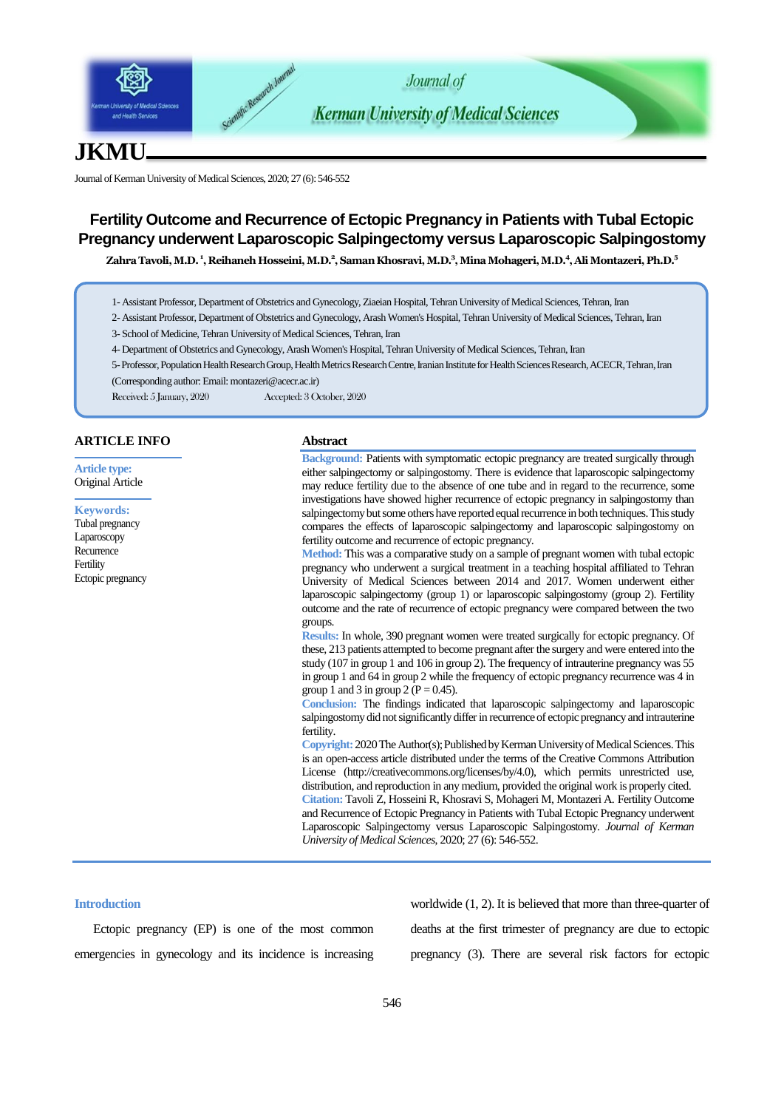

# **JKMU**

Journal of Kerman University of Medical Sciences, 2020; 27 (6): 546-552

## **Fertility Outcome and Recurrence of Ectopic Pregnancy in Patients with Tubal Ectopic Pregnancy underwent Laparoscopic Salpingectomy versus Laparoscopic Salpingostomy**

**Zahra Tavoli, M.D. <sup>1</sup> , Reihaneh Hosseini, M.D.<sup>2</sup> , Saman Khosravi, M.D.<sup>3</sup> , Mina Mohageri, M.D.<sup>4</sup> , Ali Montazeri, Ph.D.<sup>5</sup>**

- 1- Assistant Professor, Department of Obstetrics and Gynecology, Ziaeian Hospital, Tehran University of Medical Sciences, Tehran, Iran
- 2- Assistant Professor, Department of Obstetrics and Gynecology, Arash Women's Hospital, Tehran University of Medical Sciences, Tehran, Iran

3- School of Medicine, Tehran University of Medical Sciences, Tehran, Iran

- 4- Department of Obstetrics and Gynecology, Arash Women's Hospital, Tehran University of Medical Sciences, Tehran, Iran
- 5-Professor, Population Health Research Group, Health Metrics Research Centre, Iranian Institute for Health Sciences Research, ACECR, Tehran, Iran (Corresponding author: Email: [montazeri@acecr.ac.ir](mailto:montazeri@acecr.ac.ir))
- Received: 5 January, 2020 Accepted: 3 October, 2020

## **ARTICLE INFO**

**Article type:** Original Article

**Keywords:** Tubal pregnancy Laparoscopy **Recurrence** Fertility Ectopic pregnancy

## **Abstract**

**Background:** Patients with symptomatic ectopic pregnancy are treated surgically through either salpingectomy or salpingostomy. There is evidence that laparoscopic salpingectomy may reduce fertility due to the absence of one tube and in regard to the recurrence, some investigations have showed higher recurrence of ectopic pregnancy in salpingostomy than salpingectomy but some others have reported equal recurrence in both techniques. This study compares the effects of laparoscopic salpingectomy and laparoscopic salpingostomy on fertility outcome and recurrence of ectopic pregnancy.

**Method:** This was a comparative study on a sample of pregnant women with tubal ectopic pregnancy who underwent a surgical treatment in a teaching hospital affiliated to Tehran University of Medical Sciences between 2014 and 2017. Women underwent either laparoscopic salpingectomy (group 1) or laparoscopic salpingostomy (group 2). Fertility outcome and the rate of recurrence of ectopic pregnancy were compared between the two groups.

**Results:** In whole, 390 pregnant women were treated surgically for ectopic pregnancy. Of these, 213 patients attempted to become pregnant after the surgery and were entered into the study (107 in group 1 and 106 in group 2). The frequency of intrauterine pregnancy was 55 in group 1 and 64 in group 2 while the frequency of ectopic pregnancy recurrence was 4 in group 1 and 3 in group 2 ( $P = 0.45$ ).

**Conclusion:** The findings indicated that laparoscopic salpingectomy and laparoscopic salpingostomy did not significantly differ in recurrence of ectopic pregnancy and intrauterine fertility.

**Copyright:** 2020The Author(s); Published by Kerman University of Medical Sciences. This is an open-access article distributed under the terms of the Creative Commons Attribution License (http://creativecommons.org/licenses/by/4.0), which permits unrestricted use, distribution, and reproduction in any medium, provided the original work is properly cited. **Citation:** Tavoli Z, Hosseini R, Khosravi S, Mohageri M, Montazeri A. Fertility Outcome and Recurrence of Ectopic Pregnancy in Patients with Tubal Ectopic Pregnancy underwent Laparoscopic Salpingectomy versus Laparoscopic Salpingostomy. *Journal of Kerman University of Medical Sciences*, 2020; 27 (6): 546-552.

#### **Introduction**

Ectopic pregnancy (EP) is one of the most common emergencies in gynecology and its incidence is increasing

worldwide (1, 2). It is believed that more than three-quarter of deaths at the first trimester of pregnancy are due to ectopic pregnancy (3). There are several risk factors for ectopic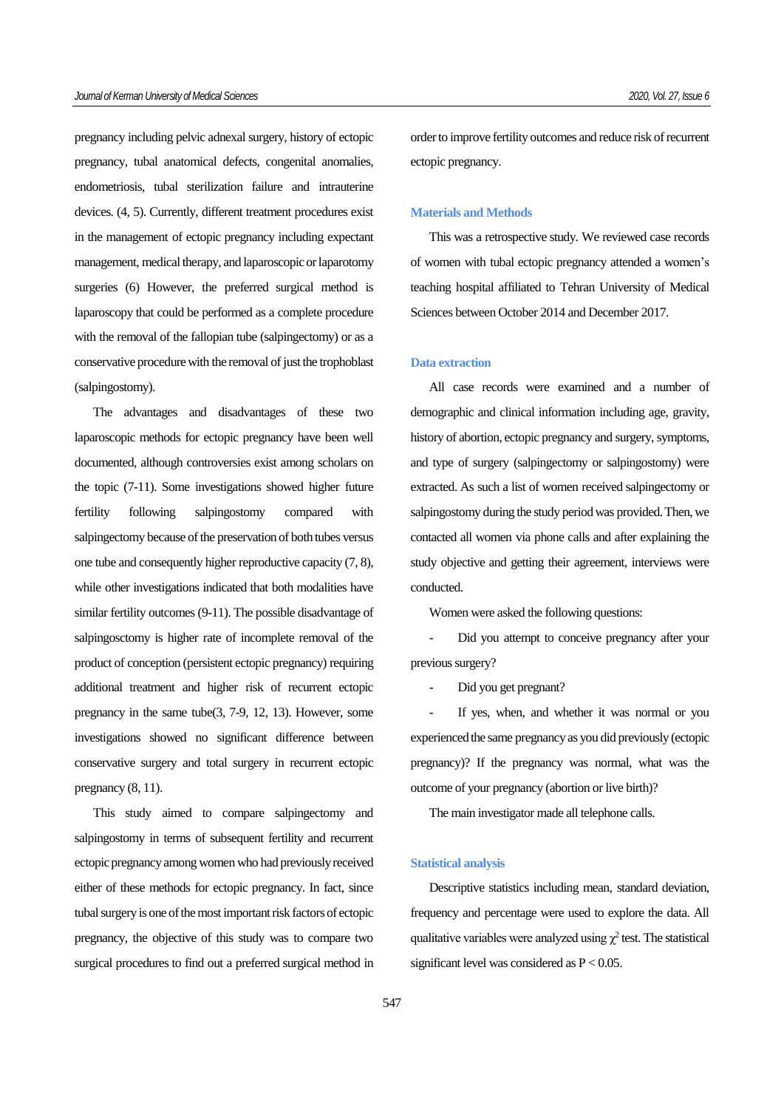pregnancy including pelvic adnexal surgery, history of ectopic pregnancy, tubal anatomical defects, congenital anomalies, endometriosis, tubal sterilization failure and intrauterine devices. (4, 5). Currently, different treatment procedures exist in the management of ectopic pregnancy including expectant management, medical therapy, and laparoscopic or laparotomy surgeries (6) However, the preferred surgical method is laparoscopy that could be performed as a complete procedure with the removal of the fallopian tube (salpingectomy) or as a conservative procedure with the removal of just the trophoblast (salpingostomy).

The advantages and disadvantages of these two laparoscopic methods for ectopic pregnancy have been well documented, although controversies exist among scholars on the topic (7-11). Some investigations showed higher future fertility following salpingostomy compared with salpingectomy because of the preservation of both tubes versus one tube and consequently higher reproductive capacity (7, 8), while other investigations indicated that both modalities have similar fertility outcomes (9-11). The possible disadvantage of salpingosctomy is higher rate of incomplete removal of the product of conception (persistent ectopic pregnancy) requiring additional treatment and higher risk of recurrent ectopic pregnancy in the same tube(3, 7-9, 12, 13). However, some investigations showed no significant difference between conservative surgery and total surgery in recurrent ectopic pregnancy (8, 11).

This study aimed to compare salpingectomy and salpingostomy in terms of subsequent fertility and recurrent ectopic pregnancy among women who had previously received either of these methods for ectopic pregnancy. In fact, since tubal surgery is one of the most important risk factors of ectopic pregnancy, the objective of this study was to compare two surgical procedures to find out a preferred surgical method in order to improve fertility outcomes and reduce risk of recurrent ectopic pregnancy.

## **Materials and Methods**

This was a retrospective study. We reviewed case records of women with tubal ectopic pregnancy attended a women's teaching hospital affiliated to Tehran University of Medical Sciences between October 2014 and December 2017.

#### **Data extraction**

All case records were examined and a number of demographic and clinical information including age, gravity, history of abortion, ectopic pregnancy and surgery, symptoms, and type of surgery (salpingectomy or salpingostomy) were extracted. As such a list of women received salpingectomy or salpingostomy during the study period was provided. Then, we contacted all women via phone calls and after explaining the study objective and getting their agreement, interviews were conducted.

Women were asked the following questions:

Did you attempt to conceive pregnancy after your previous surgery?

Did you get pregnant?

If yes, when, and whether it was normal or you experienced the same pregnancy as you did previously (ectopic pregnancy)? If the pregnancy was normal, what was the outcome of your pregnancy (abortion or live birth)?

The main investigator made all telephone calls.

#### **Statistical analysis**

Descriptive statistics including mean, standard deviation, frequency and percentage were used to explore the data. All qualitative variables were analyzed using  $\chi^2$  test. The statistical significant level was considered as  $P < 0.05$ .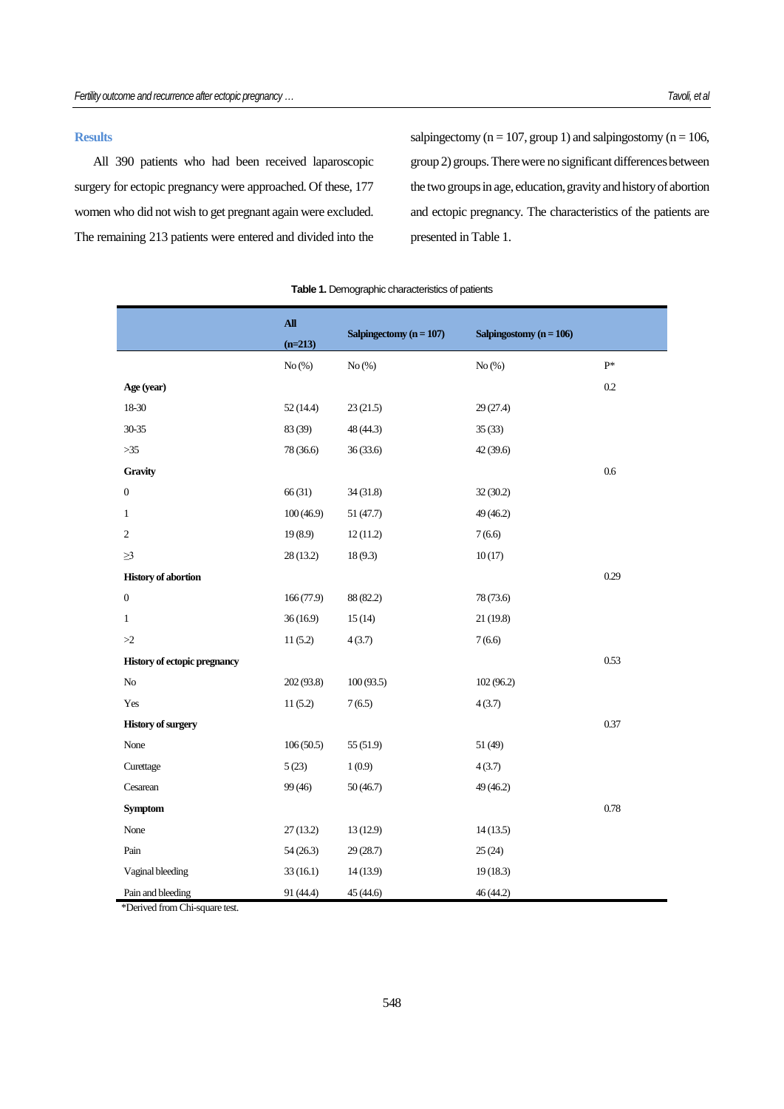### **Results**

All 390 patients who had been received laparoscopic surgery for ectopic pregnancy were approached. Of these, 177 women who did not wish to get pregnant again were excluded. The remaining 213 patients were entered and divided into the salpingectomy ( $n = 107$ , group 1) and salpingostomy ( $n = 106$ , group 2) groups. There were no significant differences between the two groups in age, education, gravity and history of abortion and ectopic pregnancy. The characteristics of the patients are presented in Table 1.

|                                     | ${\bf All}$ | Salpingectomy $(n = 107)$ | Salpingostomy $(n = 106)$ |      |
|-------------------------------------|-------------|---------------------------|---------------------------|------|
|                                     | $(n=213)$   |                           |                           |      |
|                                     | No(%)       | No(%)                     | No(%)                     | $P*$ |
| Age (year)                          |             |                           |                           | 0.2  |
| 18-30                               | 52(14.4)    | 23(21.5)                  | 29 (27.4)                 |      |
| $30 - 35$                           | 83 (39)     | 48 (44.3)                 | 35(33)                    |      |
| $>35$                               | 78 (36.6)   | 36(33.6)                  | 42(39.6)                  |      |
| Gravity                             |             |                           |                           | 0.6  |
| $\boldsymbol{0}$                    | 66 (31)     | 34(31.8)                  | 32(30.2)                  |      |
| 1                                   | 100(46.9)   | 51 (47.7)                 | 49 (46.2)                 |      |
| $\overline{c}$                      | 19(8.9)     | 12(11.2)                  | 7(6.6)                    |      |
| $\geq$ 3                            | 28(13.2)    | 18(9.3)                   | 10(17)                    |      |
| <b>History of abortion</b>          |             |                           |                           | 0.29 |
| $\boldsymbol{0}$                    | 166(77.9)   | 88 (82.2)                 | 78 (73.6)                 |      |
| $\mathbf{1}$                        | 36(16.9)    | 15(14)                    | 21 (19.8)                 |      |
| >2                                  | 11(5.2)     | 4(3.7)                    | 7(6.6)                    |      |
| <b>History of ectopic pregnancy</b> |             |                           |                           | 0.53 |
| No                                  | 202 (93.8)  | 100(93.5)                 | 102(96.2)                 |      |
| Yes                                 | 11(5.2)     | 7(6.5)                    | 4(3.7)                    |      |
| <b>History of surgery</b>           |             |                           |                           | 0.37 |
| None                                | 106(50.5)   | 55 (51.9)                 | 51 (49)                   |      |
| Curettage                           | 5(23)       | 1(0.9)                    | 4(3.7)                    |      |
| Cesarean                            | 99 (46)     | 50(46.7)                  | 49 (46.2)                 |      |
| <b>Symptom</b>                      |             |                           |                           | 0.78 |
| None                                | 27(13.2)    | 13(12.9)                  | 14(13.5)                  |      |
| Pain                                | 54(26.3)    | 29 (28.7)                 | 25(24)                    |      |
| Vaginal bleeding                    | 33(16.1)    | 14(13.9)                  | 19(18.3)                  |      |
| Pain and bleeding                   | 91 (44.4)   | 45 (44.6)                 | 46 (44.2)                 |      |

#### **Table 1.** Demographic characteristics of patients

\*Derived from Chi-square test.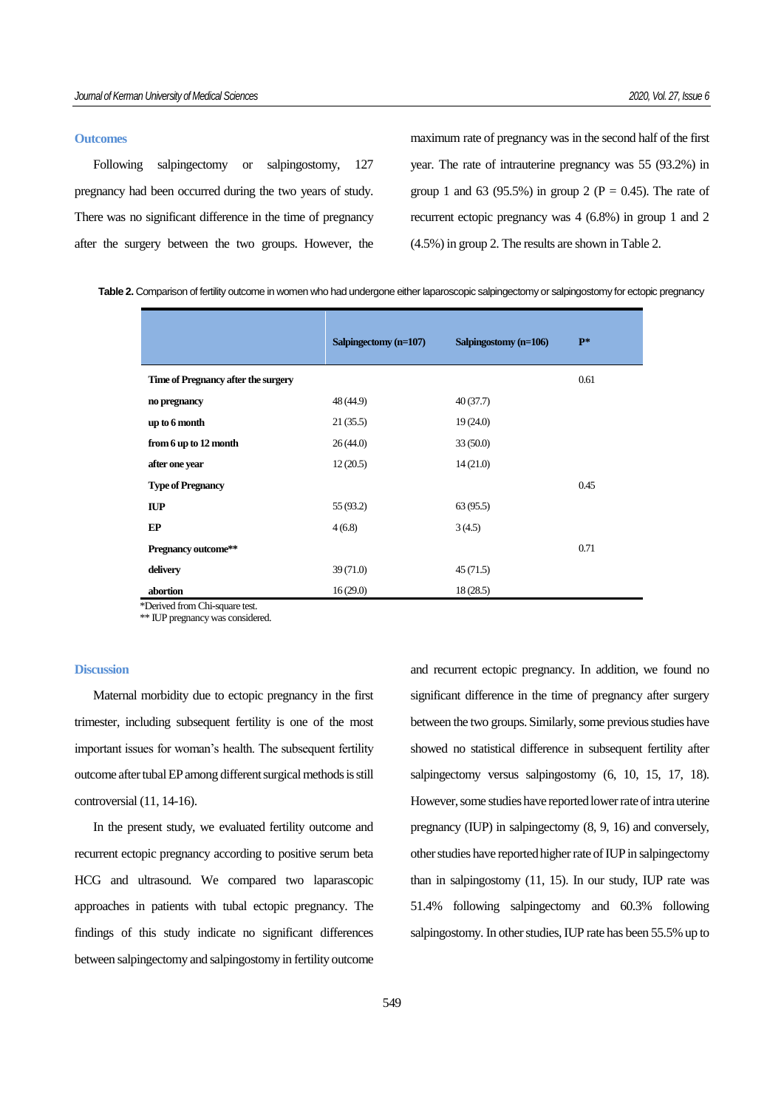#### **Outcomes**

Following salpingectomy or salpingostomy, 127 pregnancy had been occurred during the two years of study. There was no significant difference in the time of pregnancy after the surgery between the two groups. However, the

maximum rate of pregnancy was in the second half of the first year. The rate of intrauterine pregnancy was 55 (93.2%) in group 1 and 63 (95.5%) in group 2 (P = 0.45). The rate of recurrent ectopic pregnancy was 4 (6.8%) in group 1 and 2 (4.5%) in group 2. The results are shown in Table 2.

|                                     | Salpingectomy (n=107) | Salpingostomy (n=106) | $P^*$ |  |  |
|-------------------------------------|-----------------------|-----------------------|-------|--|--|
| Time of Pregnancy after the surgery |                       |                       | 0.61  |  |  |
| no pregnancy                        | 48 (44.9)             | 40(37.7)              |       |  |  |
| up to 6 month                       | 21(35.5)              | 19(24.0)              |       |  |  |
| from 6 up to 12 month               | 26(44.0)              | 33(50.0)              |       |  |  |
| after one year                      | 12(20.5)              | 14(21.0)              |       |  |  |
| <b>Type of Pregnancy</b>            |                       |                       | 0.45  |  |  |
| $\mathbf{IUP}$                      | 55 (93.2)             | 63(95.5)              |       |  |  |
| EP                                  | 4(6.8)                | 3(4.5)                |       |  |  |
| Pregnancy outcome**                 |                       |                       | 0.71  |  |  |
| delivery                            | 39(71.0)              | 45(71.5)              |       |  |  |
| abortion                            | 16(29.0)              | 18(28.5)              |       |  |  |
| Derived from Chi-square test.       |                       |                       |       |  |  |

\*\* IUP pregnancy was considered.

## **Discussion**

Maternal morbidity due to ectopic pregnancy in the first trimester, including subsequent fertility is one of the most important issues for woman's health. The subsequent fertility outcome after tubal EP among different surgical methods is still controversial (11, 14-16).

In the present study, we evaluated fertility outcome and recurrent ectopic pregnancy according to positive serum beta HCG and ultrasound. We compared two laparascopic approaches in patients with tubal ectopic pregnancy. The findings of this study indicate no significant differences between salpingectomy and salpingostomy in fertility outcome and recurrent ectopic pregnancy. In addition, we found no significant difference in the time of pregnancy after surgery between the two groups. Similarly, some previous studies have showed no statistical difference in subsequent fertility after salpingectomy versus salpingostomy  $(6, 10, 15, 17, 18)$ . However, some studies have reported lower rate of intra uterine pregnancy (IUP) in salpingectomy (8, 9, 16) and conversely, other studies have reported higher rate of IUP in salpingectomy than in salpingostomy (11, 15). In our study, IUP rate was 51.4% following salpingectomy and 60.3% following salpingostomy. In other studies, IUP rate has been 55.5% up to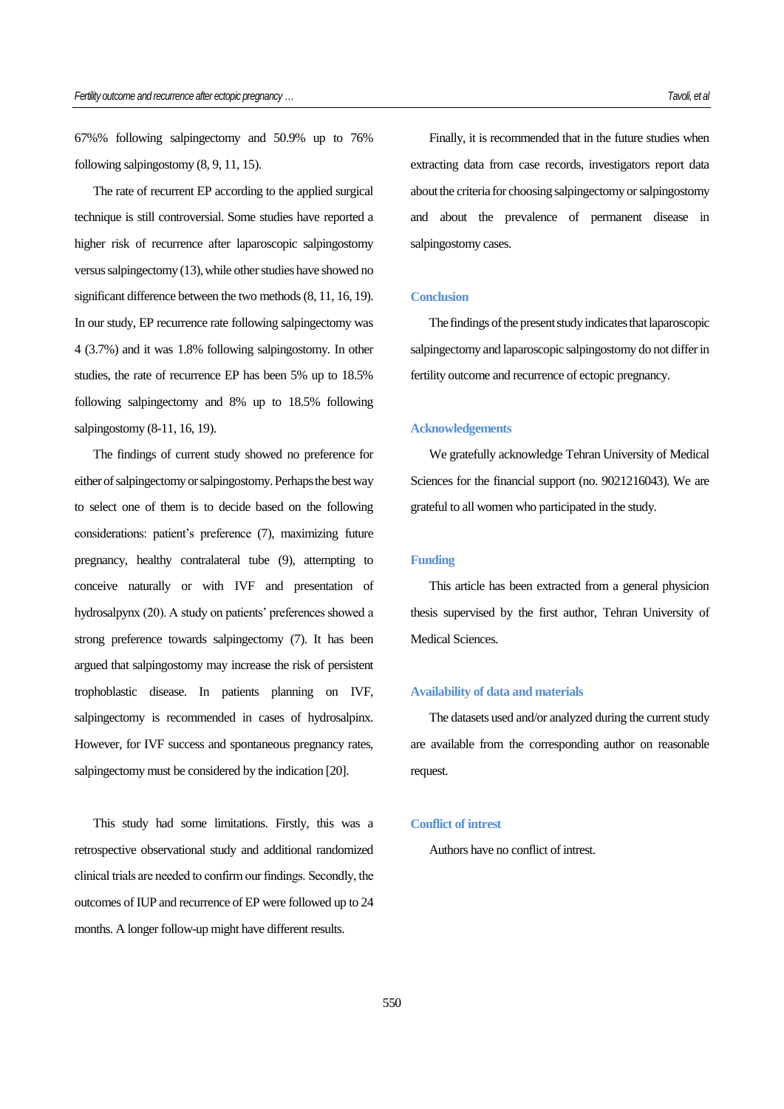67%% following salpingectomy and 50.9% up to 76% following salpingostomy (8, 9, 11, 15).

The rate of recurrent EP according to the applied surgical technique is still controversial. Some studies have reported a higher risk of recurrence after laparoscopic salpingostomy versus salpingectomy (13), while other studies have showed no significant difference between the two methods (8, 11, 16, 19). In our study, EP recurrence rate following salpingectomy was 4 (3.7%) and it was 1.8% following salpingostomy. In other studies, the rate of recurrence EP has been 5% up to 18.5% following salpingectomy and 8% up to 18.5% following salpingostomy (8-11, 16, 19).

The findings of current study showed no preference for either of salpingectomy or salpingostomy. Perhaps the best way to select one of them is to decide based on the following considerations: patient's preference (7), maximizing future pregnancy, healthy contralateral tube (9), attempting to conceive naturally or with IVF and presentation of hydrosalpynx (20). A study on patients' preferences showed a strong preference towards salpingectomy (7). It has been argued that salpingostomy may increase the risk of persistent trophoblastic disease. In patients planning on IVF, salpingectomy is recommended in cases of hydrosalpinx. However, for IVF success and spontaneous pregnancy rates, salpingectomy must be considered by the indication [\[20\]](#page-6-0).

This study had some limitations. Firstly, this was a retrospective observational study and additional randomized clinical trials are needed to confirm our findings. Secondly, the outcomes of IUP and recurrence of EP were followed up to 24 months. A longer follow-up might have different results.

Finally, it is recommended that in the future studies when extracting data from case records, investigators report data about the criteria for choosing salpingectomy or salpingostomy and about the prevalence of permanent disease in salpingostomy cases.

## **Conclusion**

The findings of the present study indicates that laparoscopic salpingectomy and laparoscopic salpingostomy do not differ in fertility outcome and recurrence of ectopic pregnancy.

#### **Acknowledgements**

We gratefully acknowledge Tehran University of Medical Sciences for the financial support (no. 9021216043). We are grateful to all women who participated in the study.

### **Funding**

This article has been extracted from a general physicion thesis supervised by the first author, Tehran University of Medical Sciences.

#### **Availability of data and materials**

The datasets used and/or analyzed during the current study are available from the corresponding author on reasonable request.

#### **Conflict of intrest**

Authors have no conflict of intrest.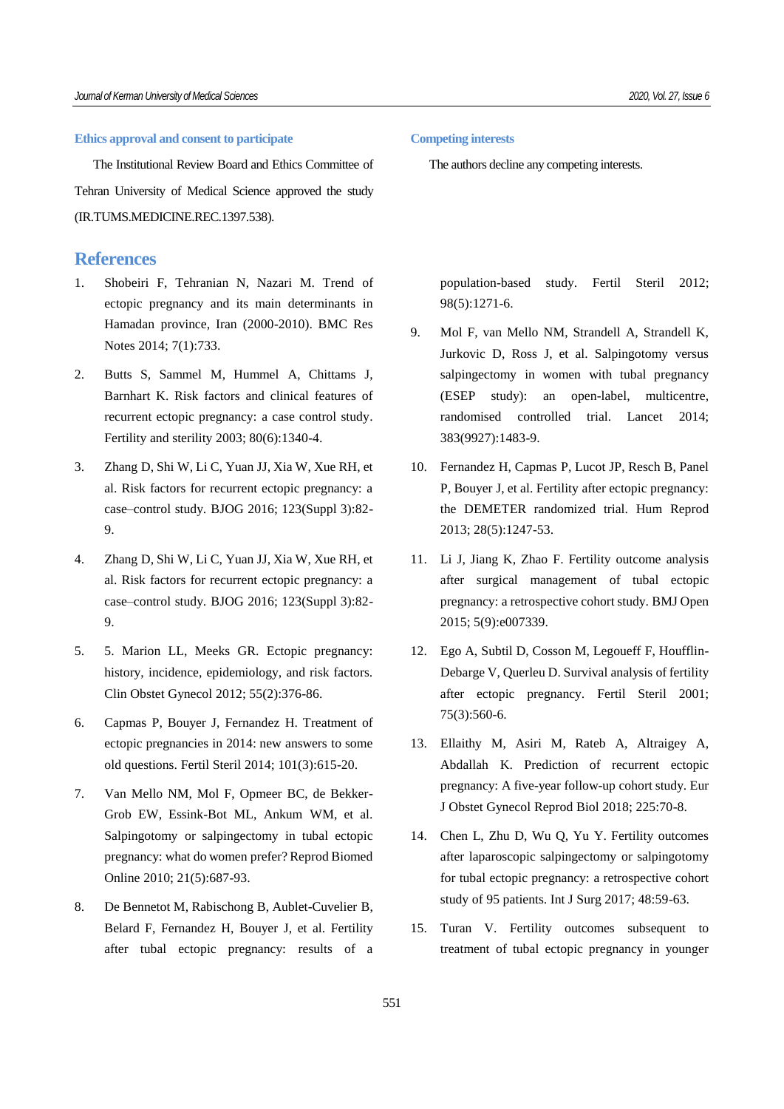#### **Ethics approval and consent to participate**

The Institutional Review Board and Ethics Committee of Tehran University of Medical Science approved the study (IR.TUMS.MEDICINE.REC.1397.538).

## **References**

- 1. Shobeiri F, Tehranian N, Nazari M. Trend of ectopic pregnancy and its main determinants in Hamadan province, Iran (2000-2010). BMC Res Notes 2014; 7(1):733.
- 2. Butts S, Sammel M, Hummel A, Chittams J, Barnhart K. Risk factors and clinical features of recurrent ectopic pregnancy: a case control study. Fertility and sterility 2003; 80(6):1340-4.
- 3. Zhang D, Shi W, Li C, Yuan JJ, Xia W, Xue RH, et al. Risk factors for recurrent ectopic pregnancy: a case–control study. BJOG 2016; 123(Suppl 3):82- 9.
- 4. Zhang D, Shi W, Li C, Yuan JJ, Xia W, Xue RH, et al. Risk factors for recurrent ectopic pregnancy: a case–control study. BJOG 2016; 123(Suppl 3):82- 9.
- 5. 5. Marion LL, Meeks GR. Ectopic pregnancy: history, incidence, epidemiology, and risk factors. Clin Obstet Gynecol 2012; 55(2):376-86.
- 6. Capmas P, Bouyer J, Fernandez H. Treatment of ectopic pregnancies in 2014: new answers to some old questions. Fertil Steril 2014; 101(3):615-20.
- 7. Van Mello NM, Mol F, Opmeer BC, de Bekker-Grob EW, Essink-Bot ML, Ankum WM, et al. Salpingotomy or salpingectomy in tubal ectopic pregnancy: what do women prefer? Reprod Biomed Online 2010; 21(5):687-93.
- 8. De Bennetot M, Rabischong B, Aublet-Cuvelier B, Belard F, Fernandez H, Bouyer J, et al. Fertility after tubal ectopic pregnancy: results of a

#### **Competing interests**

The authors decline any competing interests.

population-based study. Fertil Steril 2012; 98(5):1271-6.

- 9. Mol F, van Mello NM, Strandell A, Strandell K, Jurkovic D, Ross J, et al. Salpingotomy versus salpingectomy in women with tubal pregnancy (ESEP study): an open-label, multicentre, randomised controlled trial. Lancet 2014; 383(9927):1483-9.
- 10. Fernandez H, Capmas P, Lucot JP, Resch B, Panel P, Bouyer J, et al. Fertility after ectopic pregnancy: the DEMETER randomized trial. Hum Reprod 2013; 28(5):1247-53.
- 11. Li J, Jiang K, Zhao F. Fertility outcome analysis after surgical management of tubal ectopic pregnancy: a retrospective cohort study. BMJ Open 2015; 5(9):e007339.
- 12. Ego A, Subtil D, Cosson M, Legoueff F, Houfflin-Debarge V, Querleu D. Survival analysis of fertility after ectopic pregnancy. Fertil Steril 2001; 75(3):560-6.
- 13. Ellaithy M, Asiri M, Rateb A, Altraigey A, Abdallah K. Prediction of recurrent ectopic pregnancy: A five-year follow-up cohort study. Eur J Obstet Gynecol Reprod Biol 2018; 225:70-8.
- 14. Chen L, Zhu D, Wu Q, Yu Y. Fertility outcomes after laparoscopic salpingectomy or salpingotomy for tubal ectopic pregnancy: a retrospective cohort study of 95 patients. Int J Surg 2017; 48:59-63.
- 15. Turan V. Fertility outcomes subsequent to treatment of tubal ectopic pregnancy in younger